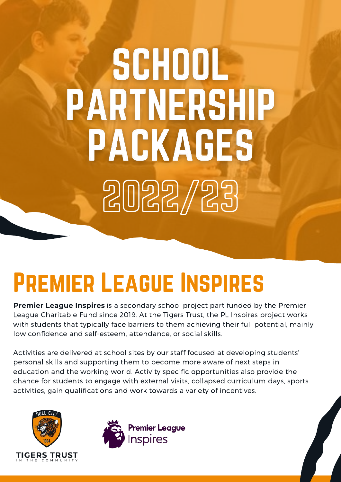# SCHOOL **PARTNERSHIP PACKAGES** 2022/23

## Premier League Inspires

**Premier League Inspires** is a secondary school project part funded by the Premier League Charitable Fund since 2019. At the Tigers Trust, the PL Inspires project works with students that typically face barriers to them achieving their full potential, mainly low confidence and self-esteem, attendance, or social skills.

Activities are delivered at school sites by our staff focused at developing students' personal skills and supporting them to become more aware of next steps in education and the working world. Activity specific opportunities also provide the chance for students to engage with external visits, collapsed curriculum days, sports activities, gain qualifications and work towards a variety of incentives.



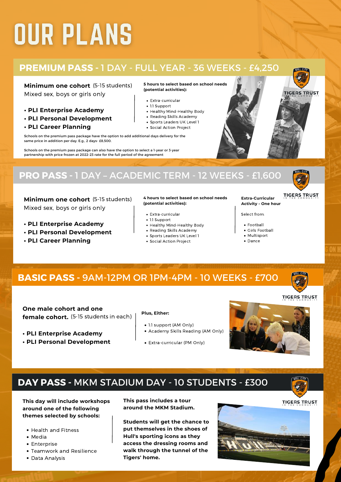## **OUR PLANS**

## **PREMIUM PASS -** 1 DAY - FULL YEAR - 36 WEEKS - £4,250

**Minimum one cohort** (5-15 students) Mixed sex, boys or girls only

- **• PLI Enterprise Academy**
- **• PLI Personal Development**
- **• PLI Career Planning**

Schools on the premium pass package have the option to add additional days delivery for the same price in addition per day. E.g., 2 days- £8,500.

Schools on the premium pass package can also have the option to select a 1-year or 3-year partnership with price frozen at 2022-23 rate for the full period of the agreement

## **PRO PASS -** 1 DAY –ACADEMIC TERM - 12 WEEKS - £1,600

**Minimum one cohort** (5-15 students) Mixed sex, boys or girls only

- **• PLI Enterprise Academy**
- **• PLI Personal Development**
- **• PLI Career Planning**

### **4 hours to select based on school needs (potential activities):**

- Extra-curricular
- 1:1 Support
- Healthy Mind-Healthy Body
- Reading Skills Academy
- Sports Leaders UK Level 1
- Social Action Project

### **5 hours to select based on school needs (potential activities):**

- Extra-curricular
- 1:1 Support
- Healthy Mind-Healthy Body
- Reading Skills Academy
- Sports Leaders UK Level 1
- Social Action Project

### **Extra-Curricular Activity -One hour**

- Select from:
	- Football
	- Girls Football
	- Multisport
- Dance



**One male cohort and one female cohort.** (5-15 students in each)

- **• PLI Enterprise Academy**
- **• PLI Personal Development**

### **Plus, Either:**

- 1:1 support (AM Only)
- Academy Skills Reading (AM Only)
- Extra-curricular (PM Only)



## **DAY PASS -** MKM STADIUM DAY - 10 STUDENTS - £300



**This day will include workshops around one of the following themes selected by schools:**

- Health and Fitness
- Media
- Enterprise
- Teamwork and Resilience
- Data Analysis

**This pass includes a tour around the MKM Stadium.**

**Students will get the chance to put themselves in the shoes of Hull's sporting icons as they access the dressing rooms and walk through the tunnel of the Tigers' home.**





**TIGERS TRUST** 

**TIGERS TRUST** 







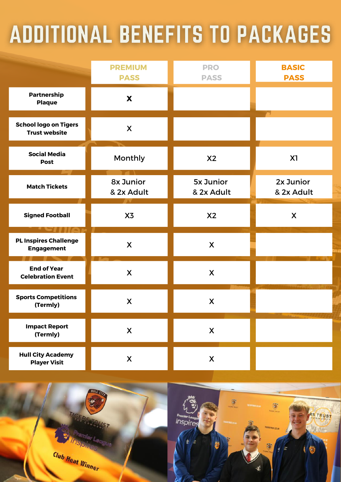## **ADDITIONAL BENEFITS TO PACKAGES**

|                                                      | <b>PREMIUM</b><br><b>PASS</b> | <b>PRO</b><br><b>PASS</b>      | <b>BASIC</b><br><b>PASS</b> |
|------------------------------------------------------|-------------------------------|--------------------------------|-----------------------------|
| <b>Partnership</b><br><b>Plaque</b>                  | X                             |                                |                             |
| <b>School logo on Tigers</b><br><b>Trust website</b> | X                             |                                |                             |
| <b>Social Media</b><br><b>Post</b>                   | Monthly                       | X <sub>2</sub>                 | X1                          |
| <b>Match Tickets</b>                                 | 8x Junior<br>& 2x Adult       | <b>5x Junior</b><br>& 2x Adult | 2x Junior<br>& 2x Adult     |
| <b>Signed Football</b>                               | X3                            | X2                             | X                           |
| <b>PL Inspires Challenge</b><br><b>Engagement</b>    | X                             | X                              |                             |
| <b>End of Year</b><br><b>Celebration Event</b>       | X                             | X                              |                             |
| <b>Sports Competitions</b><br>(Termly)               | X                             | X                              |                             |
| <b>Impact Report</b><br>(Termly)                     | $\boldsymbol{X}$              | $\pmb{\mathsf{X}}$             |                             |
| <b>Hull City Academy</b><br><b>Player Visit</b>      | $\boldsymbol{X}$              | $\pmb{\mathsf{X}}$             |                             |